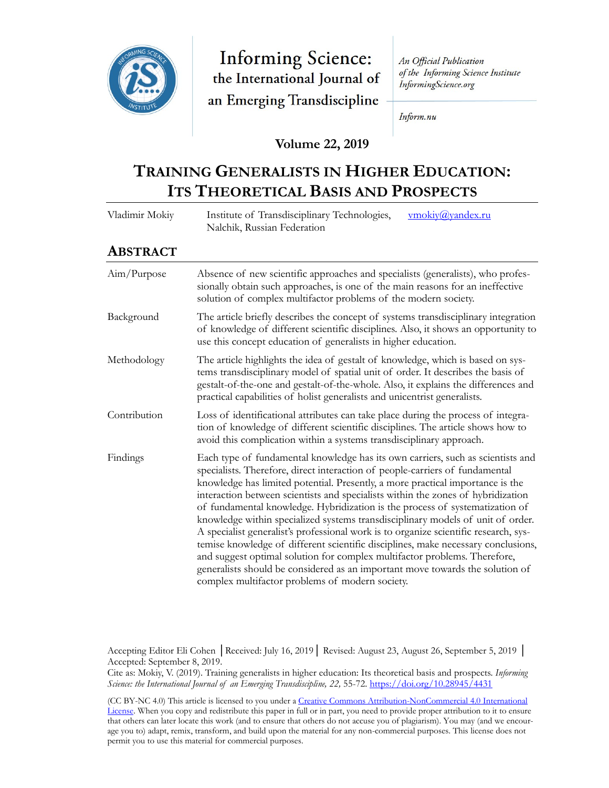

**Informing Science:** the International Journal of an Emerging Transdiscipline

An Official Publication of the Informing Science Institute InformingScience.org

Inform.nu

## **Volume 22, 2019**

# **TRAINING GENERALISTS IN HIGHER EDUCATION: ITS THEORETICAL BASIS AND PROSPECTS**

| Vladimir Mokiy  | vmokiy@yandex.ru<br>Institute of Transdisciplinary Technologies,<br>Nalchik, Russian Federation                                                                                                                                                                                                                                                                                                                                                                                                                                                                                                                                                                                                                                                                                                                                                                                                        |  |
|-----------------|--------------------------------------------------------------------------------------------------------------------------------------------------------------------------------------------------------------------------------------------------------------------------------------------------------------------------------------------------------------------------------------------------------------------------------------------------------------------------------------------------------------------------------------------------------------------------------------------------------------------------------------------------------------------------------------------------------------------------------------------------------------------------------------------------------------------------------------------------------------------------------------------------------|--|
| <b>ABSTRACT</b> |                                                                                                                                                                                                                                                                                                                                                                                                                                                                                                                                                                                                                                                                                                                                                                                                                                                                                                        |  |
| Aim/Purpose     | Absence of new scientific approaches and specialists (generalists), who profes-<br>sionally obtain such approaches, is one of the main reasons for an ineffective<br>solution of complex multifactor problems of the modern society.                                                                                                                                                                                                                                                                                                                                                                                                                                                                                                                                                                                                                                                                   |  |
| Background      | The article briefly describes the concept of systems transdisciplinary integration<br>of knowledge of different scientific disciplines. Also, it shows an opportunity to<br>use this concept education of generalists in higher education.                                                                                                                                                                                                                                                                                                                                                                                                                                                                                                                                                                                                                                                             |  |
| Methodology     | The article highlights the idea of gestalt of knowledge, which is based on sys-<br>tems transdisciplinary model of spatial unit of order. It describes the basis of<br>gestalt-of-the-one and gestalt-of-the-whole. Also, it explains the differences and<br>practical capabilities of holist generalists and unicentrist generalists.                                                                                                                                                                                                                                                                                                                                                                                                                                                                                                                                                                 |  |
| Contribution    | Loss of identificational attributes can take place during the process of integra-<br>tion of knowledge of different scientific disciplines. The article shows how to<br>avoid this complication within a systems transdisciplinary approach.                                                                                                                                                                                                                                                                                                                                                                                                                                                                                                                                                                                                                                                           |  |
| Findings        | Each type of fundamental knowledge has its own carriers, such as scientists and<br>specialists. Therefore, direct interaction of people-carriers of fundamental<br>knowledge has limited potential. Presently, a more practical importance is the<br>interaction between scientists and specialists within the zones of hybridization<br>of fundamental knowledge. Hybridization is the process of systematization of<br>knowledge within specialized systems transdisciplinary models of unit of order.<br>A specialist generalist's professional work is to organize scientific research, sys-<br>temise knowledge of different scientific disciplines, make necessary conclusions,<br>and suggest optimal solution for complex multifactor problems. Therefore,<br>generalists should be considered as an important move towards the solution of<br>complex multifactor problems of modern society. |  |

Accepting Editor Eli Cohen │Received: July 16, 2019│ Revised: August 23, August 26, September 5, 2019 │ Accepted: September 8, 2019.

Cite as: Mokiy, V. (2019). Training generalists in higher education: Its theoretical basis and prospects. *Informing Science: the International Journal of an Emerging Transdiscipline, 22,* 55-72. <https://doi.org/10.28945/4431>

(CC BY-NC 4.0) This article is licensed to you under a Creative Commons Attribution-[NonCommercial 4.0 International](https://creativecommons.org/licenses/by-nc/4.0/)  [License](https://creativecommons.org/licenses/by-nc/4.0/). When you copy and redistribute this paper in full or in part, you need to provide proper attribution to it to ensure that others can later locate this work (and to ensure that others do not accuse you of plagiarism). You may (and we encourage you to) adapt, remix, transform, and build upon the material for any non-commercial purposes. This license does not permit you to use this material for commercial purposes.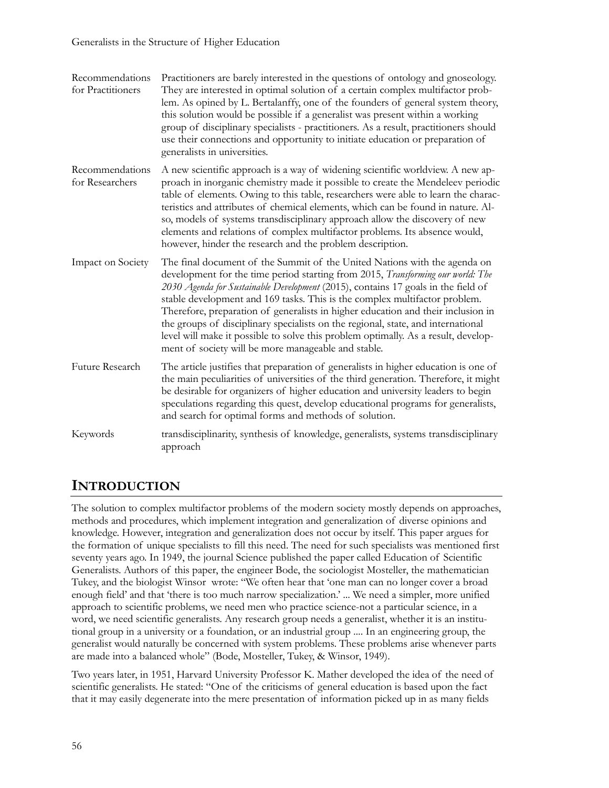| Recommendations<br>for Practitioners | Practitioners are barely interested in the questions of ontology and gnoseology.<br>They are interested in optimal solution of a certain complex multifactor prob-<br>lem. As opined by L. Bertalanffy, one of the founders of general system theory,<br>this solution would be possible if a generalist was present within a working<br>group of disciplinary specialists - practitioners. As a result, practitioners should<br>use their connections and opportunity to initiate education or preparation of<br>generalists in universities.                                                                                                       |
|--------------------------------------|------------------------------------------------------------------------------------------------------------------------------------------------------------------------------------------------------------------------------------------------------------------------------------------------------------------------------------------------------------------------------------------------------------------------------------------------------------------------------------------------------------------------------------------------------------------------------------------------------------------------------------------------------|
| Recommendations<br>for Researchers   | A new scientific approach is a way of widening scientific worldview. A new ap-<br>proach in inorganic chemistry made it possible to create the Mendeleev periodic<br>table of elements. Owing to this table, researchers were able to learn the charac-<br>teristics and attributes of chemical elements, which can be found in nature. Al-<br>so, models of systems transdisciplinary approach allow the discovery of new<br>elements and relations of complex multifactor problems. Its absence would,<br>however, hinder the research and the problem description.                                                                                |
| Impact on Society                    | The final document of the Summit of the United Nations with the agenda on<br>development for the time period starting from 2015, Transforming our world: The<br>2030 Agenda for Sustainable Development (2015), contains 17 goals in the field of<br>stable development and 169 tasks. This is the complex multifactor problem.<br>Therefore, preparation of generalists in higher education and their inclusion in<br>the groups of disciplinary specialists on the regional, state, and international<br>level will make it possible to solve this problem optimally. As a result, develop-<br>ment of society will be more manageable and stable. |
| Future Research                      | The article justifies that preparation of generalists in higher education is one of<br>the main peculiarities of universities of the third generation. Therefore, it might<br>be desirable for organizers of higher education and university leaders to begin<br>speculations regarding this quest, develop educational programs for generalists,<br>and search for optimal forms and methods of solution.                                                                                                                                                                                                                                           |
| Keywords                             | transdisciplinarity, synthesis of knowledge, generalists, systems transdisciplinary<br>approach                                                                                                                                                                                                                                                                                                                                                                                                                                                                                                                                                      |

# **INTRODUCTION**

The solution to complex multifactor problems of the modern society mostly depends on approaches, methods and procedures, which implement integration and generalization of diverse opinions and knowledge. However, integration and generalization does not occur by itself. This paper argues for the formation of unique specialists to fill this need. The need for such specialists was mentioned first seventy years ago. In 1949, the journal Science published the paper called Education of Scientific Generalists. Authors of this paper, the engineer Bode, the sociologist Mosteller, the mathematician Tukey, and the biologist Winsor wrote: "We often hear that 'one man can no longer cover a broad enough field' and that 'there is too much narrow specialization.' ... We need a simpler, more unified approach to scientific problems, we need men who practice science-not a particular science, in a word, we need scientific generalists. Any research group needs a generalist, whether it is an institutional group in a university or a foundation, or an industrial group .... In an engineering group, the generalist would naturally be concerned with system problems. These problems arise whenever parts are made into a balanced whole" (Bode, Mosteller, Tukey, & Winsor, 1949).

Two years later, in 1951, Harvard University Professor K. Mather developed the idea of the need of scientific generalists. He stated: "One of the criticisms of general education is based upon the fact that it may easily degenerate into the mere presentation of information picked up in as many fields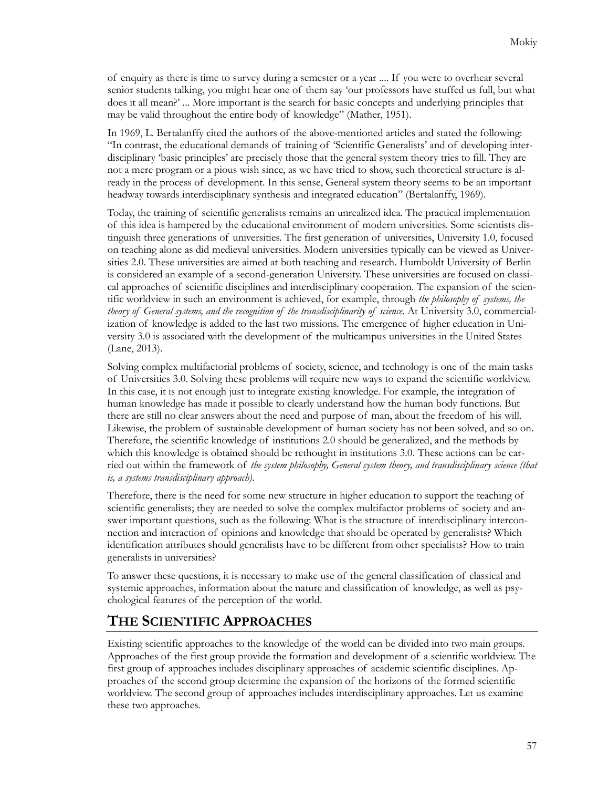of enquiry as there is time to survey during a semester or a year .... If you were to overhear several senior students talking, you might hear one of them say 'our professors have stuffed us full, but what does it all mean?' ... More important is the search for basic concepts and underlying principles that may be valid throughout the entire body of knowledge" (Mather, 1951).

In 1969, L. Bertalanffy cited the authors of the above-mentioned articles and stated the following: "In contrast, the educational demands of training of 'Scientific Generalists' and of developing interdisciplinary 'basic principles' are precisely those that the general system theory tries to fill. They are not a mere program or a pious wish since, as we have tried to show, such theoretical structure is already in the process of development. In this sense, General system theory seems to be an important headway towards interdisciplinary synthesis and integrated education" (Bertalanffy, 1969).

Today, the training of scientific generalists remains an unrealized idea. The practical implementation of this idea is hampered by the educational environment of modern universities. Some scientists distinguish three generations of universities. The first generation of universities, University 1.0, focused on teaching alone as did medieval universities. Modern universities typically can be viewed as Universities 2.0. These universities are aimed at both teaching and research. Humboldt University of Berlin is considered an example of a second-generation University. These universities are focused on classical approaches of scientific disciplines and interdisciplinary cooperation. The expansion of the scientific worldview in such an environment is achieved, for example, through *the philosophy of systems, the theory of General systems, and the recognition of the transdisciplinarity of science*. At University 3.0, commercialization of knowledge is added to the last two missions. The emergence of higher education in University 3.0 is associated with the development of the multicampus universities in the United States (Lane, 2013).

Solving complex multifactorial problems of society, science, and technology is one of the main tasks of Universities 3.0. Solving these problems will require new ways to expand the scientific worldview. In this case, it is not enough just to integrate existing knowledge. For example, the integration of human knowledge has made it possible to clearly understand how the human body functions. But there are still no clear answers about the need and purpose of man, about the freedom of his will. Likewise, the problem of sustainable development of human society has not been solved, and so on. Therefore, the scientific knowledge of institutions 2.0 should be generalized, and the methods by which this knowledge is obtained should be rethought in institutions 3.0. These actions can be carried out within the framework of *the system philosophy, General system theory, and transdisciplinary science (that is, a systems transdisciplinary approach)*.

Therefore, there is the need for some new structure in higher education to support the teaching of scientific generalists; they are needed to solve the complex multifactor problems of society and answer important questions, such as the following: What is the structure of interdisciplinary interconnection and interaction of opinions and knowledge that should be operated by generalists? Which identification attributes should generalists have to be different from other specialists? How to train generalists in universities?

To answer these questions, it is necessary to make use of the general classification of classical and systemic approaches, information about the nature and classification of knowledge, as well as psychological features of the perception of the world.

# **THE SCIENTIFIC APPROACHES**

Existing scientific approaches to the knowledge of the world can be divided into two main groups. Approaches of the first group provide the formation and development of a scientific worldview. The first group of approaches includes disciplinary approaches of academic scientific disciplines. Approaches of the second group determine the expansion of the horizons of the formed scientific worldview. The second group of approaches includes interdisciplinary approaches. Let us examine these two approaches.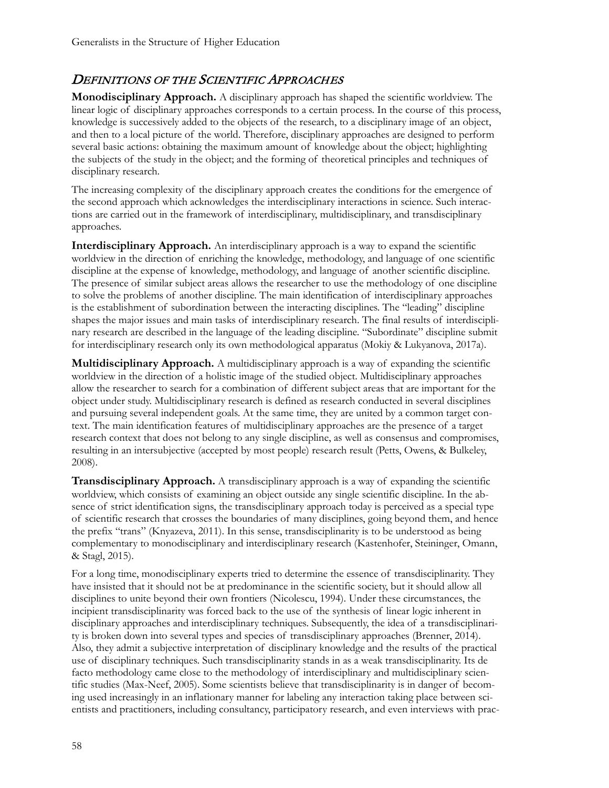#### DEFINITIONS OF THE SCIENTIFIC APPROACHES

**Monodisciplinary Approach.** A disciplinary approach has shaped the scientific worldview. The linear logic of disciplinary approaches corresponds to a certain process. In the course of this process, knowledge is successively added to the objects of the research, to a disciplinary image of an object, and then to a local picture of the world. Therefore, disciplinary approaches are designed to perform several basic actions: obtaining the maximum amount of knowledge about the object; highlighting the subjects of the study in the object; and the forming of theoretical principles and techniques of disciplinary research.

The increasing complexity of the disciplinary approach creates the conditions for the emergence of the second approach which acknowledges the interdisciplinary interactions in science. Such interactions are carried out in the framework of interdisciplinary, multidisciplinary, and transdisciplinary approaches.

**Interdisciplinary Approach.** An interdisciplinary approach is a way to expand the scientific worldview in the direction of enriching the knowledge, methodology, and language of one scientific discipline at the expense of knowledge, methodology, and language of another scientific discipline. The presence of similar subject areas allows the researcher to use the methodology of one discipline to solve the problems of another discipline. The main identification of interdisciplinary approaches is the establishment of subordination between the interacting disciplines. The "leading" discipline shapes the major issues and main tasks of interdisciplinary research. The final results of interdisciplinary research are described in the language of the leading discipline. "Subordinate" discipline submit for interdisciplinary research only its own methodological apparatus (Моkiy & Lukyanova, 2017a).

**Multidisciplinary Approach.** A multidisciplinary approach is a way of expanding the scientific worldview in the direction of a holistic image of the studied object. Multidisciplinary approaches allow the researcher to search for a combination of different subject areas that are important for the object under study. Multidisciplinary research is defined as research conducted in several disciplines and pursuing several independent goals. At the same time, they are united by a common target context. The main identification features of multidisciplinary approaches are the presence of a target research context that does not belong to any single discipline, as well as consensus and compromises, resulting in an intersubjective (accepted by most people) research result (Petts, Owens, & Bulkeley, 2008).

**Transdisciplinary Approach.** A transdisciplinary approach is a way of expanding the scientific worldview, which consists of examining an object outside any single scientific discipline. In the absence of strict identification signs, the transdisciplinary approach today is perceived as a special type of scientific research that crosses the boundaries of many disciplines, going beyond them, and hence the prefix "trans" (Knyazeva, 2011). In this sense, transdisciplinarity is to be understood as being complementary to monodisciplinary and interdisciplinary research (Kastenhofer, Steininger, Omann, & Stagl, 2015).

For a long time, monodisciplinary experts tried to determine the essence of transdisciplinarity. They have insisted that it should not be at predominance in the scientific society, but it should allow all disciplines to unite beyond their own frontiers (Nicolescu, 1994). Under these circumstances, the incipient transdisciplinarity was forced back to the use of the synthesis of linear logic inherent in disciplinary approaches and interdisciplinary techniques. Subsequently, the idea of a transdisciplinarity is broken down into several types and species of transdisciplinary approaches (Brenner, 2014). Also, they admit a subjective interpretation of disciplinary knowledge and the results of the practical use of disciplinary techniques. Such transdisciplinarity stands in as a weak transdisciplinarity. Its de facto methodology came close to the methodology of interdisciplinary and multidisciplinary scientific studies (Max-Neef, 2005). Some scientists believe that transdisciplinarity is in danger of becoming used increasingly in an inflationary manner for labeling any interaction taking place between scientists and practitioners, including consultancy, participatory research, and even interviews with prac-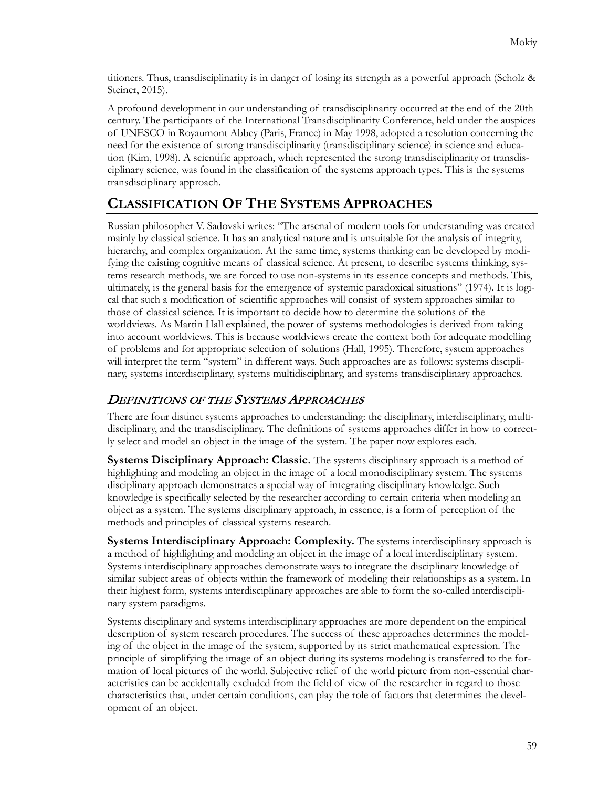titioners. Thus, transdisciplinarity is in danger of losing its strength as a powerful approach (Scholz & Steiner, 2015).

A profound development in our understanding of transdisciplinarity occurred at the end of the 20th century. The participants of the International Transdisciplinarity Conference, held under the auspices of UNESCO in Royaumont Abbey (Paris, France) in May 1998, adopted a resolution concerning the need for the existence of strong transdisciplinarity (transdisciplinary science) in science and education (Kim, 1998). A scientific approach, which represented the strong transdisciplinarity or transdisciplinary science, was found in the classification of the systems approach types. This is the systems transdisciplinary approach.

# **CLASSIFICATION OF THE SYSTEMS APPROACHES**

Russian philosopher V. Sadovski writes: "The arsenal of modern tools for understanding was created mainly by classical science. It has an analytical nature and is unsuitable for the analysis of integrity, hierarchy, and complex organization. At the same time, systems thinking can be developed by modifying the existing cognitive means of classical science. At present, to describe systems thinking, systems research methods, we are forced to use non-systems in its essence concepts and methods. This, ultimately, is the general basis for the emergence of systemic paradoxical situations" (1974). It is logical that such a modification of scientific approaches will consist of system approaches similar to those of classical science. It is important to decide how to determine the solutions of the worldviews. As Martin Hall explained, the power of systems methodologies is derived from taking into account worldviews. This is because worldviews create the context both for adequate modelling of problems and for appropriate selection of solutions (Hall, 1995). Therefore, system approaches will interpret the term "system" in different ways. Such approaches are as follows: systems disciplinary, systems interdisciplinary, systems multidisciplinary, and systems transdisciplinary approaches.

### DEFINITIONS OF THE SYSTEMS APPROACHES

There are four distinct systems approaches to understanding: the disciplinary, interdisciplinary, multidisciplinary, and the transdisciplinary. The definitions of systems approaches differ in how to correctly select and model an object in the image of the system. The paper now explores each.

**Systems Disciplinary Approach: Classic.** The systems disciplinary approach is a method of highlighting and modeling an object in the image of a local monodisciplinary system. The systems disciplinary approach demonstrates a special way of integrating disciplinary knowledge. Such knowledge is specifically selected by the researcher according to certain criteria when modeling an object as a system. The systems disciplinary approach, in essence, is a form of perception of the methods and principles of classical systems research.

**Systems Interdisciplinary Approach: Complexity.** The systems interdisciplinary approach is a method of highlighting and modeling an object in the image of a local interdisciplinary system. Systems interdisciplinary approaches demonstrate ways to integrate the disciplinary knowledge of similar subject areas of objects within the framework of modeling their relationships as a system. In their highest form, systems interdisciplinary approaches are able to form the so-called interdisciplinary system paradigms.

Systems disciplinary and systems interdisciplinary approaches are more dependent on the empirical description of system research procedures. The success of these approaches determines the modeling of the object in the image of the system, supported by its strict mathematical expression. The principle of simplifying the image of an object during its systems modeling is transferred to the formation of local pictures of the world. Subjective relief of the world picture from non-essential characteristics can be accidentally excluded from the field of view of the researcher in regard to those characteristics that, under certain conditions, can play the role of factors that determines the development of an object.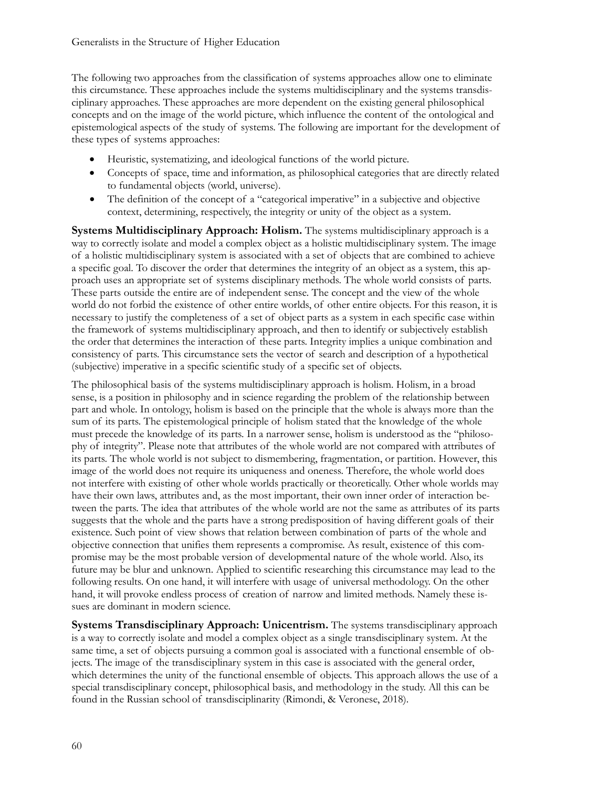The following two approaches from the classification of systems approaches allow one to eliminate this circumstance. These approaches include the systems multidisciplinary and the systems transdisciplinary approaches. These approaches are more dependent on the existing general philosophical concepts and on the image of the world picture, which influence the content of the ontological and epistemological aspects of the study of systems. The following are important for the development of these types of systems approaches:

- Heuristic, systematizing, and ideological functions of the world picture.
- Concepts of space, time and information, as philosophical categories that are directly related to fundamental objects (world, universe).
- The definition of the concept of a "categorical imperative" in a subjective and objective context, determining, respectively, the integrity or unity of the object as a system.

**Systems Multidisciplinary Approach: Holism.** The systems multidisciplinary approach is a way to correctly isolate and model a complex object as a holistic multidisciplinary system. The image of a holistic multidisciplinary system is associated with a set of objects that are combined to achieve a specific goal. To discover the order that determines the integrity of an object as a system, this approach uses an appropriate set of systems disciplinary methods. The whole world consists of parts. These parts outside the entire are of independent sense. The concept and the view of the whole world do not forbid the existence of other entire worlds, of other entire objects. For this reason, it is necessary to justify the completeness of a set of object parts as a system in each specific case within the framework of systems multidisciplinary approach, and then to identify or subjectively establish the order that determines the interaction of these parts. Integrity implies a unique combination and consistency of parts. This circumstance sets the vector of search and description of a hypothetical (subjective) imperative in a specific scientific study of a specific set of objects.

The philosophical basis of the systems multidisciplinary approach is holism. Holism, in a broad sense, is a position in philosophy and in science regarding the problem of the relationship between part and whole. In ontology, holism is based on the principle that the whole is always more than the sum of its parts. The epistemological principle of holism stated that the knowledge of the whole must precede the knowledge of its parts. In a narrower sense, holism is understood as the "philosophy of integrity". Please note that attributes of the whole world are not compared with attributes of its parts. The whole world is not subject to dismembering, fragmentation, or partition. However, this image of the world does not require its uniqueness and oneness. Therefore, the whole world does not interfere with existing of other whole worlds practically or theoretically. Other whole worlds may have their own laws, attributes and, as the most important, their own inner order of interaction between the parts. The idea that attributes of the whole world are not the same as attributes of its parts suggests that the whole and the parts have a strong predisposition of having different goals of their existence. Such point of view shows that relation between combination of parts of the whole and objective connection that unifies them represents a compromise. As result, existence of this compromise may be the most probable version of developmental nature of the whole world. Also, its future may be blur and unknown. Applied to scientific researching this circumstance may lead to the following results. On one hand, it will interfere with usage of universal methodology. On the other hand, it will provoke endless process of creation of narrow and limited methods. Namely these issues are dominant in modern science.

**Systems Transdisciplinary Approach: Unicentrism.** The systems transdisciplinary approach is a way to correctly isolate and model a complex object as a single transdisciplinary system. At the same time, a set of objects pursuing a common goal is associated with a functional ensemble of objects. The image of the transdisciplinary system in this case is associated with the general order, which determines the unity of the functional ensemble of objects. This approach allows the use of a special transdisciplinary concept, philosophical basis, and methodology in the study. All this can be found in the Russian school of transdisciplinarity (Rimondi, & Veronese, 2018).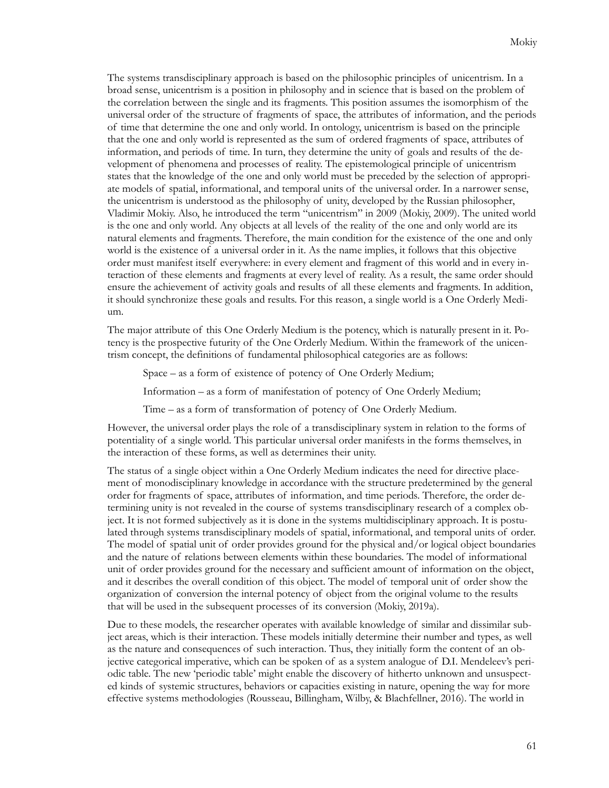The systems transdisciplinary approach is based on the philosophic principles of unicentrism. In a broad sense, unicentrism is a position in philosophy and in science that is based on the problem of the correlation between the single and its fragments. This position assumes the isomorphism of the universal order of the structure of fragments of space, the attributes of information, and the periods of time that determine the one and only world. In ontology, unicentrism is based on the principle that the one and only world is represented as the sum of ordered fragments of space, attributes of information, and periods of time. In turn, they determine the unity of goals and results of the development of phenomena and processes of reality. The epistemological principle of unicentrism states that the knowledge of the one and only world must be preceded by the selection of appropriate models of spatial, informational, and temporal units of the universal order. In a narrower sense, the unicentrism is understood as the philosophy of unity, developed by the Russian philosopher, Vladimir Mokiy. Also, he introduced the term "unicentrism" in 2009 (Mokiy, 2009). The united world is the one and only world. Any objects at all levels of the reality of the one and only world are its natural elements and fragments. Therefore, the main condition for the existence of the one and only world is the existence of a universal order in it. As the name implies, it follows that this objective order must manifest itself everywhere: in every element and fragment of this world and in every interaction of these elements and fragments at every level of reality. As a result, the same order should ensure the achievement of activity goals and results of all these elements and fragments. In addition, it should synchronize these goals and results. For this reason, a single world is a One Orderly Medium.

The major attribute of this One Orderly Medium is the potency, which is naturally present in it. Potency is the prospective futurity of the One Orderly Medium. Within the framework of the unicentrism concept, the definitions of fundamental philosophical categories are as follows:

Space – as a form of existence of potency of One Orderly Medium;

Information – as a form of manifestation of potency of One Orderly Medium;

Time – as a form of transformation of potency of One Orderly Medium.

However, the universal order plays the role of a transdisciplinary system in relation to the forms of potentiality of a single world. This particular universal order manifests in the forms themselves, in the interaction of these forms, as well as determines their unity.

The status of a single object within a One Orderly Medium indicates the need for directive placement of monodisciplinary knowledge in accordance with the structure predetermined by the general order for fragments of space, attributes of information, and time periods. Therefore, the order determining unity is not revealed in the course of systems transdisciplinary research of a complex object. It is not formed subjectively as it is done in the systems multidisciplinary approach. It is postulated through systems transdisciplinary models of spatial, informational, and temporal units of order. The model of spatial unit of order provides ground for the physical and/or logical object boundaries and the nature of relations between elements within these boundaries. The model of informational unit of order provides ground for the necessary and sufficient amount of information on the object, and it describes the overall condition of this object. The model of temporal unit of order show the organization of conversion the internal potency of object from the original volume to the results that will be used in the subsequent processes of its conversion (Mokiy, 2019a).

Due to these models, the researcher operates with available knowledge of similar and dissimilar subject areas, which is their interaction. These models initially determine their number and types, as well as the nature and consequences of such interaction. Thus, they initially form the content of an objective categorical imperative, which can be spoken of as a system analogue of D.I. Mendeleev's periodic table. The new 'periodic table' might enable the discovery of hitherto unknown and unsuspected kinds of systemic structures, behaviors or capacities existing in nature, opening the way for more effective systems methodologies (Rousseau, Billingham, Wilby, & Blachfellner, 2016). The world in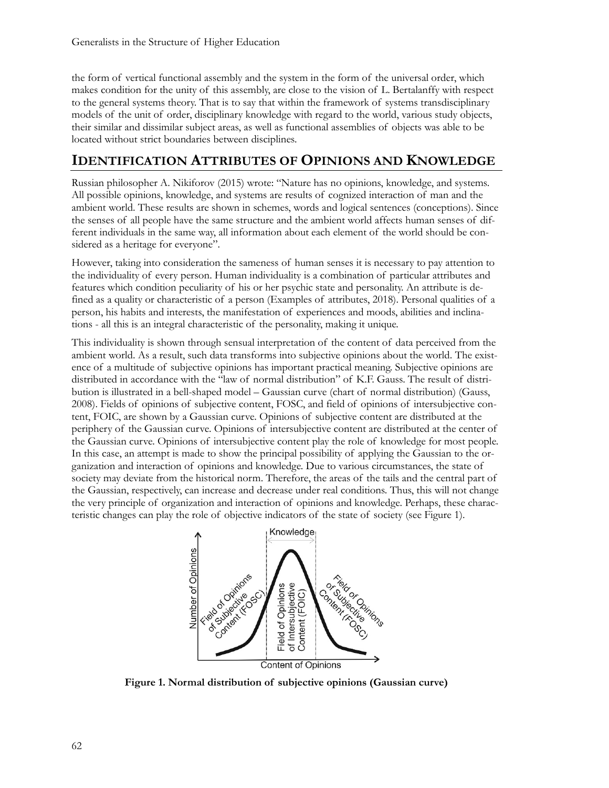the form of vertical functional assembly and the system in the form of the universal order, which makes condition for the unity of this assembly, are close to the vision of L. Bertalanffy with respect to the general systems theory. That is to say that within the framework of systems transdisciplinary models of the unit of order, disciplinary knowledge with regard to the world, various study objects, their similar and dissimilar subject areas, as well as functional assemblies of objects was able to be located without strict boundaries between disciplines.

#### **IDENTIFICATION ATTRIBUTES OF OPINIONS AND KNOWLEDGE**

Russian philosopher A. Nikiforov (2015) wrote: "Nature has no opinions, knowledge, and systems. All possible opinions, knowledge, and systems are results of cognized interaction of man and the ambient world. These results are shown in schemes, words and logical sentences (conceptions). Since the senses of all people have the same structure and the ambient world affects human senses of different individuals in the same way, all information about each element of the world should be considered as a heritage for everyone".

However, taking into consideration the sameness of human senses it is necessary to pay attention to the individuality of every person. Human individuality is a combination of particular attributes and features which condition peculiarity of his or her psychic state and personality. An attribute is defined as a quality or characteristic of a person (Examples of attributes, 2018). Personal qualities of a person, his habits and interests, the manifestation of experiences and moods, abilities and inclinations - all this is an integral characteristic of the personality, making it unique.

This individuality is shown through sensual interpretation of the content of data perceived from the ambient world. As a result, such data transforms into subjective opinions about the world. The existence of a multitude of subjective opinions has important practical meaning. Subjective opinions are distributed in accordance with the "law of normal distribution" of K.F. Gauss. The result of distribution is illustrated in a bell-shaped model – Gaussian curve (chart of normal distribution) (Gauss, 2008). Fields of opinions of subjective content, FOSC, and field of opinions of intersubjective content, FOIC, are shown by a Gaussian curve. Opinions of subjective content are distributed at the periphery of the Gaussian curve. Opinions of intersubjective content are distributed at the center of the Gaussian curve. Opinions of intersubjective content play the role of knowledge for most people. In this case, an attempt is made to show the principal possibility of applying the Gaussian to the organization and interaction of opinions and knowledge. Due to various circumstances, the state of society may deviate from the historical norm. Therefore, the areas of the tails and the central part of the Gaussian, respectively, can increase and decrease under real conditions. Thus, this will not change the very principle of organization and interaction of opinions and knowledge. Perhaps, these characteristic changes can play the role of objective indicators of the state of society (see Figure 1).



**Figure 1. Normal distribution of subjective opinions (Gaussian curve)**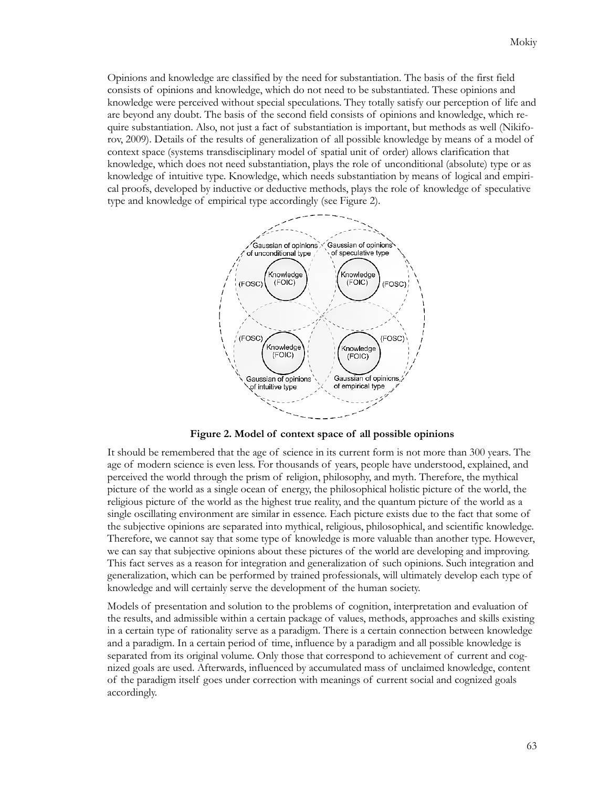Opinions and knowledge are classified by the need for substantiation. The basis of the first field consists of opinions and knowledge, which do not need to be substantiated. These opinions and knowledge were perceived without special speculations. They totally satisfy our perception of life and are beyond any doubt. The basis of the second field consists of opinions and knowledge, which require substantiation. Also, not just a fact of substantiation is important, but methods as well (Nikiforov, 2009). Details of the results of generalization of all possible knowledge by means of a model of context space (systems transdisciplinary model of spatial unit of order) allows clarification that knowledge, which does not need substantiation, plays the role of unconditional (absolute) type or as knowledge of intuitive type. Knowledge, which needs substantiation by means of logical and empirical proofs, developed by inductive or deductive methods, plays the role of knowledge of speculative type and knowledge of empirical type accordingly (see Figure 2).



**Figure 2. Model of context space of all possible opinions**

It should be remembered that the age of science in its current form is not more than 300 years. The age of modern science is even less. For thousands of years, people have understood, explained, and perceived the world through the prism of religion, philosophy, and myth. Therefore, the mythical picture of the world as a single ocean of energy, the philosophical holistic picture of the world, the religious picture of the world as the highest true reality, and the quantum picture of the world as a single oscillating environment are similar in essence. Each picture exists due to the fact that some of the subjective opinions are separated into mythical, religious, philosophical, and scientific knowledge. Therefore, we cannot say that some type of knowledge is more valuable than another type. However, we can say that subjective opinions about these pictures of the world are developing and improving. This fact serves as a reason for integration and generalization of such opinions. Such integration and generalization, which can be performed by trained professionals, will ultimately develop each type of knowledge and will certainly serve the development of the human society.

Models of presentation and solution to the problems of cognition, interpretation and evaluation of the results, and admissible within a certain package of values, methods, approaches and skills existing in a certain type of rationality serve as a paradigm. There is a certain connection between knowledge and a paradigm. In a certain period of time, influence by a paradigm and all possible knowledge is separated from its original volume. Only those that correspond to achievement of current and cognized goals are used. Afterwards, influenced by accumulated mass of unclaimed knowledge, content of the paradigm itself goes under correction with meanings of current social and cognized goals accordingly.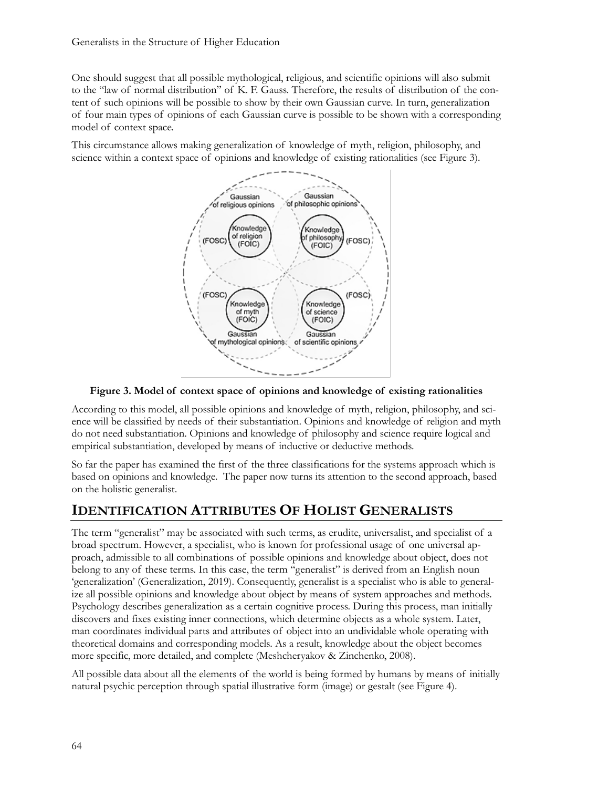One should suggest that all possible mythological, religious, and scientific opinions will also submit to the "law of normal distribution" of K. F. Gauss. Therefore, the results of distribution of the content of such opinions will be possible to show by their own Gaussian curve. In turn, generalization of four main types of opinions of each Gaussian curve is possible to be shown with a corresponding model of context space.

This circumstance allows making generalization of knowledge of myth, religion, philosophy, and science within a context space of opinions and knowledge of existing rationalities (see Figure 3).



**Figure 3. Model of context space of opinions and knowledge of existing rationalities**

According to this model, all possible opinions and knowledge of myth, religion, philosophy, and science will be classified by needs of their substantiation. Opinions and knowledge of religion and myth do not need substantiation. Opinions and knowledge of philosophy and science require logical and empirical substantiation, developed by means of inductive or deductive methods.

So far the paper has examined the first of the three classifications for the systems approach which is based on opinions and knowledge. The paper now turns its attention to the second approach, based on the holistic generalist.

# **IDENTIFICATION ATTRIBUTES OF HOLIST GENERALISTS**

The term "generalist" may be associated with such terms, as erudite, universalist, and specialist of a broad spectrum. However, a specialist, who is known for professional usage of one universal approach, admissible to all combinations of possible opinions and knowledge about object, does not belong to any of these terms. In this case, the term "generalist" is derived from an English noun 'generalization' (Generalization, 2019). Consequently, generalist is a specialist who is able to generalize all possible opinions and knowledge about object by means of system approaches and methods. Psychology describes generalization as a certain cognitive process. During this process, man initially discovers and fixes existing inner connections, which determine objects as a whole system. Later, man coordinates individual parts and attributes of object into an undividable whole operating with theoretical domains and corresponding models. As a result, knowledge about the object becomes more specific, more detailed, and complete (Meshcheryakov & Zinchenko, 2008).

All possible data about all the elements of the world is being formed by humans by means of initially natural psychic perception through spatial illustrative form (image) or gestalt (see Figure 4).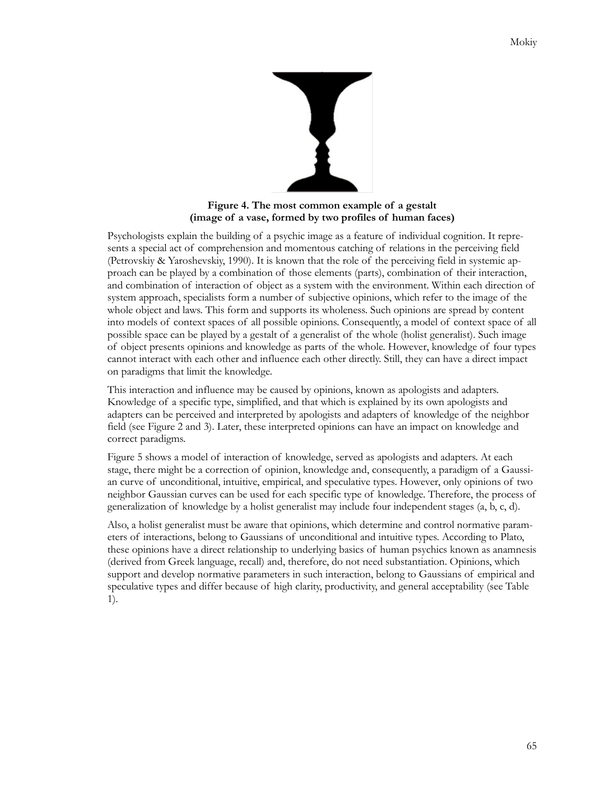

**Figure 4. The most common example of a gestalt (image of a vase, formed by two profiles of human faces)**

Psychologists explain the building of a psychic image as a feature of individual cognition. It represents a special act of comprehension and momentous catching of relations in the perceiving field (Petrovskiy & Yaroshevskiy, 1990). It is known that the role of the perceiving field in systemic approach can be played by a combination of those elements (parts), combination of their interaction, and combination of interaction of object as a system with the environment. Within each direction of system approach, specialists form a number of subjective opinions, which refer to the image of the whole object and laws. This form and supports its wholeness. Such opinions are spread by content into models of context spaces of all possible opinions. Consequently, a model of context space of all possible space can be played by a gestalt of a generalist of the whole (holist generalist). Such image of object presents opinions and knowledge as parts of the whole. However, knowledge of four types cannot interact with each other and influence each other directly. Still, they can have a direct impact on paradigms that limit the knowledge.

This interaction and influence may be caused by opinions, known as apologists and adapters. Knowledge of a specific type, simplified, and that which is explained by its own apologists and adapters can be perceived and interpreted by apologists and adapters of knowledge of the neighbor field (see Figure 2 and 3). Later, these interpreted opinions can have an impact on knowledge and correct paradigms.

Figure 5 shows a model of interaction of knowledge, served as apologists and adapters. At each stage, there might be a correction of opinion, knowledge and, consequently, a paradigm of a Gaussian curve of unconditional, intuitive, empirical, and speculative types. However, only opinions of two neighbor Gaussian curves can be used for each specific type of knowledge. Therefore, the process of generalization of knowledge by a holist generalist may include four independent stages (a, b, c, d).

Also, a holist generalist must be aware that opinions, which determine and control normative parameters of interactions, belong to Gaussians of unconditional and intuitive types. According to Plato, these opinions have a direct relationship to underlying basics of human psychics known as anamnesis (derived from Greek language, recall) and, therefore, do not need substantiation. Opinions, which support and develop normative parameters in such interaction, belong to Gaussians of empirical and speculative types and differ because of high clarity, productivity, and general acceptability (see Table 1).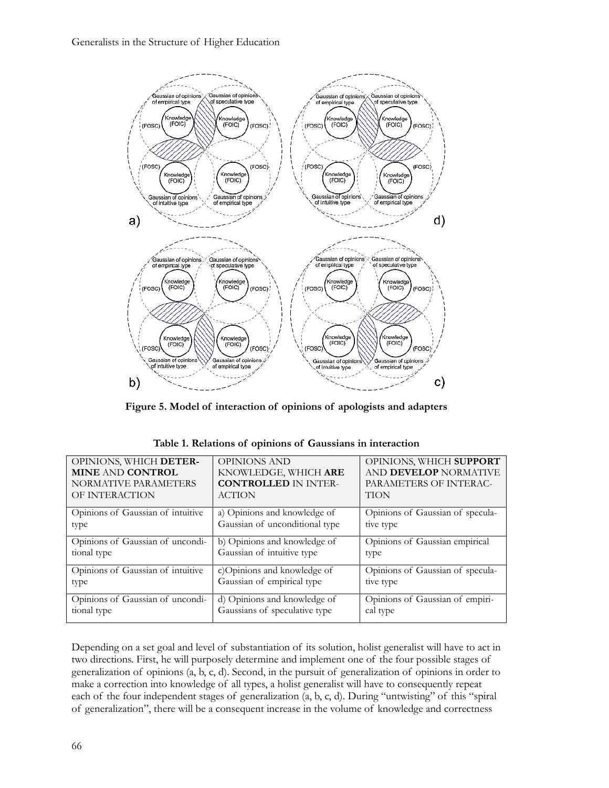

**Figure 5. Model of interaction of opinions of apologists and adapters**

| OPINIONS, WHICH DETER-            | <b>OPINIONS AND</b>            | OPINIONS, WHICH SUPPORT          |
|-----------------------------------|--------------------------------|----------------------------------|
| <b>MINE AND CONTROL</b>           | KNOWLEDGE, WHICH ARE           | AND <b>DEVELOP</b> NORMATIVE     |
| NORMATIVE PARAMETERS              | <b>CONTROLLED IN INTER-</b>    | PARAMETERS OF INTERAC-           |
| OF INTERACTION                    | <b>ACTION</b>                  | <b>TION</b>                      |
| Opinions of Gaussian of intuitive | a) Opinions and knowledge of   | Opinions of Gaussian of specula- |
| type                              | Gaussian of unconditional type | tive type                        |
| Opinions of Gaussian of uncondi-  | b) Opinions and knowledge of   | Opinions of Gaussian empirical   |
| tional type                       | Gaussian of intuitive type     | type                             |
| Opinions of Gaussian of intuitive | c)Opinions and knowledge of    | Opinions of Gaussian of specula- |
| type                              | Gaussian of empirical type     | tive type                        |
| Opinions of Gaussian of uncondi-  | d) Opinions and knowledge of   | Opinions of Gaussian of empiri-  |
| tional type                       | Gaussians of speculative type  | cal type                         |

| Table 1. Relations of opinions of Gaussians in interaction |  |
|------------------------------------------------------------|--|
|------------------------------------------------------------|--|

Depending on a set goal and level of substantiation of its solution, holist generalist will have to act in two directions. First, he will purposely determine and implement one of the four possible stages of generalization of opinions (a, b, c, d). Second, in the pursuit of generalization of opinions in order to make a correction into knowledge of all types, a holist generalist will have to consequently repeat each of the four independent stages of generalization (a, b, c, d). During "untwisting" of this "spiral of generalization", there will be a consequent increase in the volume of knowledge and correctness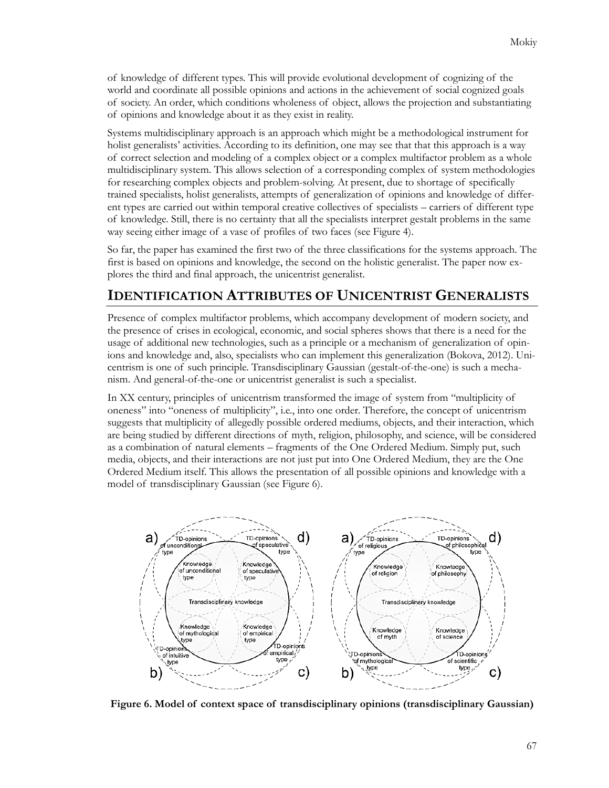of knowledge of different types. This will provide evolutional development of cognizing of the world and coordinate all possible opinions and actions in the achievement of social cognized goals of society. An order, which conditions wholeness of object, allows the projection and substantiating of opinions and knowledge about it as they exist in reality.

Systems multidisciplinary approach is an approach which might be a methodological instrument for holist generalists' activities. According to its definition, one may see that that this approach is a way of correct selection and modeling of a complex object or a complex multifactor problem as a whole multidisciplinary system. This allows selection of a corresponding complex of system methodologies for researching complex objects and problem-solving. At present, due to shortage of specifically trained specialists, holist generalists, attempts of generalization of opinions and knowledge of different types are carried out within temporal creative collectives of specialists – carriers of different type of knowledge. Still, there is no certainty that all the specialists interpret gestalt problems in the same way seeing either image of a vase of profiles of two faces (see Figure 4).

So far, the paper has examined the first two of the three classifications for the systems approach. The first is based on opinions and knowledge, the second on the holistic generalist. The paper now explores the third and final approach, the unicentrist generalist.

# **IDENTIFICATION ATTRIBUTES OF UNICENTRIST GENERALISTS**

Presence of complex multifactor problems, which accompany development of modern society, and the presence of crises in ecological, economic, and social spheres shows that there is a need for the usage of additional new technologies, such as a principle or a mechanism of generalization of opinions and knowledge and, also, specialists who can implement this generalization (Bokova, 2012). Unicentrism is one of such principle. Transdisciplinary Gaussian (gestalt-of-the-one) is such a mechanism. And general-of-the-one or unicentrist generalist is such a specialist.

In XX century, principles of unicentrism transformed the image of system from "multiplicity of oneness" into "oneness of multiplicity", i.e., into one order. Therefore, the concept of unicentrism suggests that multiplicity of allegedly possible ordered mediums, objects, and their interaction, which are being studied by different directions of myth, religion, philosophy, and science, will be considered as a combination of natural elements – fragments of the One Ordered Medium. Simply put, such media, objects, and their interactions are not just put into One Ordered Medium, they are the One Ordered Medium itself. This allows the presentation of all possible opinions and knowledge with a model of transdisciplinary Gaussian (see Figure 6).



**Figure 6. Model of context space of transdisciplinary opinions (transdisciplinary Gaussian)**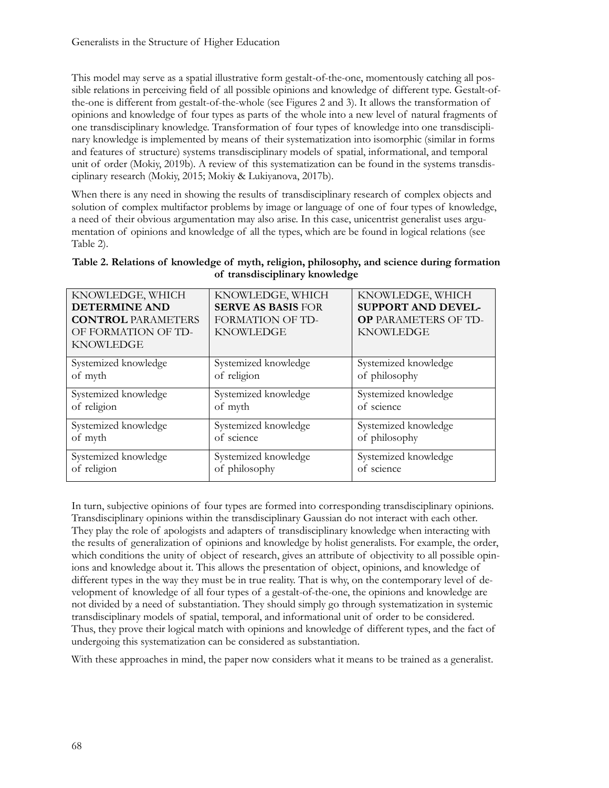This model may serve as a spatial illustrative form gestalt-of-the-one, momentously catching all possible relations in perceiving field of all possible opinions and knowledge of different type. Gestalt-ofthe-one is different from gestalt-of-the-whole (see Figures 2 and 3). It allows the transformation of opinions and knowledge of four types as parts of the whole into a new level of natural fragments of one transdisciplinary knowledge. Transformation of four types of knowledge into one transdisciplinary knowledge is implemented by means of their systematization into isomorphic (similar in forms and features of structure) systems transdisciplinary models of spatial, informational, and temporal unit of order (Mokiy, 2019b). A review of this systematization can be found in the systems transdisciplinary research (Моkiy, 2015; Mokiy & Lukiyanova, 2017b).

When there is any need in showing the results of transdisciplinary research of complex objects and solution of complex multifactor problems by image or language of one of four types of knowledge, a need of their obvious argumentation may also arise. In this case, unicentrist generalist uses argumentation of opinions and knowledge of all the types, which are be found in logical relations (see Table 2).

| Table 2. Relations of knowledge of myth, religion, philosophy, and science during formation |  |  |  |  |
|---------------------------------------------------------------------------------------------|--|--|--|--|
| of transdisciplinary knowledge                                                              |  |  |  |  |

| KNOWLEDGE, WHICH<br><b>DETERMINE AND</b><br><b>CONTROL PARAMETERS</b><br>OF FORMATION OF TD-<br><b>KNOWLEDGE</b> | KNOWLEDGE, WHICH<br><b>SERVE AS BASIS FOR</b><br><b>FORMATION OF TD-</b><br><b>KNOWLEDGE</b> | KNOWLEDGE, WHICH<br><b>SUPPORT AND DEVEL-</b><br><b>OP PARAMETERS OF TD-</b><br><b>KNOWLEDGE</b> |
|------------------------------------------------------------------------------------------------------------------|----------------------------------------------------------------------------------------------|--------------------------------------------------------------------------------------------------|
| Systemized knowledge                                                                                             | Systemized knowledge                                                                         | Systemized knowledge                                                                             |
| of myth                                                                                                          | of religion                                                                                  | of philosophy                                                                                    |
| Systemized knowledge                                                                                             | Systemized knowledge                                                                         | Systemized knowledge                                                                             |
| of religion                                                                                                      | of myth                                                                                      | of science                                                                                       |
| Systemized knowledge                                                                                             | Systemized knowledge                                                                         | Systemized knowledge                                                                             |
| of myth                                                                                                          | of science                                                                                   | of philosophy                                                                                    |
| Systemized knowledge                                                                                             | Systemized knowledge                                                                         | Systemized knowledge                                                                             |
| of religion                                                                                                      | of philosophy                                                                                | of science                                                                                       |

In turn, subjective opinions of four types are formed into corresponding transdisciplinary opinions. Transdisciplinary opinions within the transdisciplinary Gaussian do not interact with each other. They play the role of apologists and adapters of transdisciplinary knowledge when interacting with the results of generalization of opinions and knowledge by holist generalists. For example, the order, which conditions the unity of object of research, gives an attribute of objectivity to all possible opinions and knowledge about it. This allows the presentation of object, opinions, and knowledge of different types in the way they must be in true reality. That is why, on the contemporary level of development of knowledge of all four types of a gestalt-of-the-one, the opinions and knowledge are not divided by a need of substantiation. They should simply go through systematization in systemic transdisciplinary models of spatial, temporal, and informational unit of order to be considered. Thus, they prove their logical match with opinions and knowledge of different types, and the fact of undergoing this systematization can be considered as substantiation.

With these approaches in mind, the paper now considers what it means to be trained as a generalist.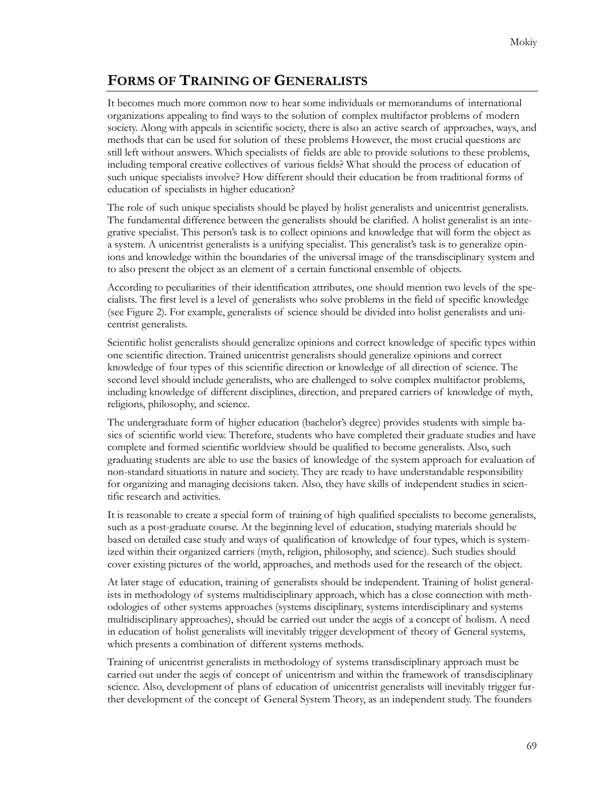# **FORMS OF TRAINING OF GENERALISTS**

It becomes much more common now to hear some individuals or memorandums of international organizations appealing to find ways to the solution of complex multifactor problems of modern society. Along with appeals in scientific society, there is also an active search of approaches, ways, and methods that can be used for solution of these problems However, the most crucial questions are still left without answers. Which specialists of fields are able to provide solutions to these problems, including temporal creative collectives of various fields? What should the process of education of such unique specialists involve? How different should their education be from traditional forms of education of specialists in higher education?

The role of such unique specialists should be played by holist generalists and unicentrist generalists. The fundamental difference between the generalists should be clarified. A holist generalist is an integrative specialist. This person's task is to collect opinions and knowledge that will form the object as a system. A unicentrist generalists is a unifying specialist. This generalist's task is to generalize opinions and knowledge within the boundaries of the universal image of the transdisciplinary system and to also present the object as an element of a certain functional ensemble of objects.

According to peculiarities of their identification attributes, one should mention two levels of the specialists. The first level is a level of generalists who solve problems in the field of specific knowledge (see Figure 2). For example, generalists of science should be divided into holist generalists and unicentrist generalists.

Scientific holist generalists should generalize opinions and correct knowledge of specific types within one scientific direction. Trained unicentrist generalists should generalize opinions and correct knowledge of four types of this scientific direction or knowledge of all direction of science. The second level should include generalists, who are challenged to solve complex multifactor problems, including knowledge of different disciplines, direction, and prepared carriers of knowledge of myth, religions, philosophy, and science.

The undergraduate form of higher education (bachelor's degree) provides students with simple basics of scientific world view. Therefore, students who have completed their graduate studies and have complete and formed scientific worldview should be qualified to become generalists. Also, such graduating students are able to use the basics of knowledge of the system approach for evaluation of non-standard situations in nature and society. They are ready to have understandable responsibility for organizing and managing decisions taken. Also, they have skills of independent studies in scientific research and activities.

It is reasonable to create a special form of training of high qualified specialists to become generalists, such as a post-graduate course. At the beginning level of education, studying materials should be based on detailed case study and ways of qualification of knowledge of four types, which is systemized within their organized carriers (myth, religion, philosophy, and science). Such studies should cover existing pictures of the world, approaches, and methods used for the research of the object.

At later stage of education, training of generalists should be independent. Training of holist generalists in methodology of systems multidisciplinary approach, which has a close connection with methodologies of other systems approaches (systems disciplinary, systems interdisciplinary and systems multidisciplinary approaches), should be carried out under the aegis of a concept of holism. A need in education of holist generalists will inevitably trigger development of theory of General systems, which presents a combination of different systems methods.

Training of unicentrist generalists in methodology of systems transdisciplinary approach must be carried out under the aegis of concept of unicentrism and within the framework of transdisciplinary science. Also, development of plans of education of unicentrist generalists will inevitably trigger further development of the concept of General System Theory, as an independent study. The founders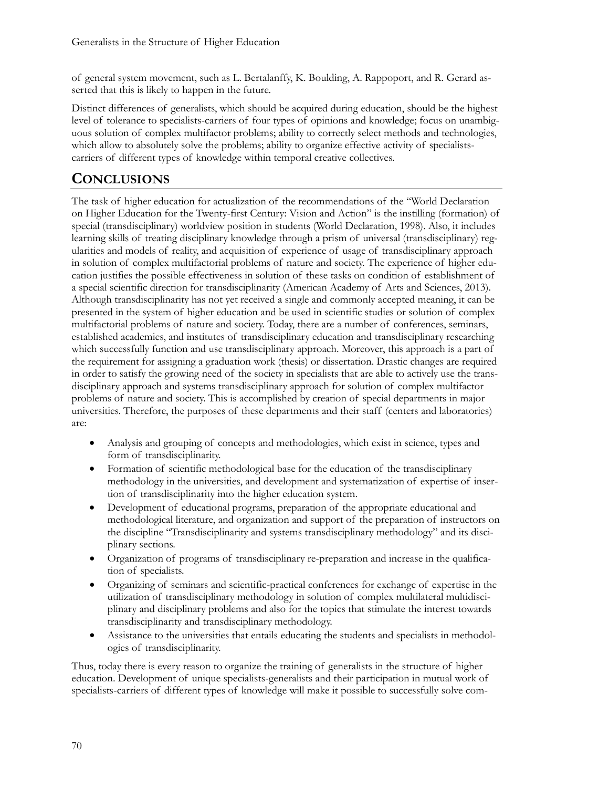of general system movement, such as L. Bertalanffy, K. Boulding, A. Rappoport, and R. Gerard asserted that this is likely to happen in the future.

Distinct differences of generalists, which should be acquired during education, should be the highest level of tolerance to specialists-carriers of four types of opinions and knowledge; focus on unambiguous solution of complex multifactor problems; ability to correctly select methods and technologies, which allow to absolutely solve the problems; ability to organize effective activity of specialistscarriers of different types of knowledge within temporal creative collectives.

# **CONCLUSIONS**

The task of higher education for actualization of the recommendations of the "World Declaration on Higher Education for the Twenty-first Century: Vision and Action" is the instilling (formation) of special (transdisciplinary) worldview position in students (World Declaration, 1998). Also, it includes learning skills of treating disciplinary knowledge through a prism of universal (transdisciplinary) regularities and models of reality, and acquisition of experience of usage of transdisciplinary approach in solution of complex multifactorial problems of nature and society. The experience of higher education justifies the possible effectiveness in solution of these tasks on condition of establishment of a special scientific direction for transdisciplinarity (American Academy of Arts and Sciences, 2013). Although transdisciplinarity has not yet received a single and commonly accepted meaning, it can be presented in the system of higher education and be used in scientific studies or solution of complex multifactorial problems of nature and society. Today, there are a number of conferences, seminars, established academies, and institutes of transdisciplinary education and transdisciplinary researching which successfully function and use transdisciplinary approach. Moreover, this approach is a part of the requirement for assigning a graduation work (thesis) or dissertation. Drastic changes are required in order to satisfy the growing need of the society in specialists that are able to actively use the transdisciplinary approach and systems transdisciplinary approach for solution of complex multifactor problems of nature and society. This is accomplished by creation of special departments in major universities. Therefore, the purposes of these departments and their staff (centers and laboratories) are:

- Analysis and grouping of concepts and methodologies, which exist in science, types and form of transdisciplinarity.
- Formation of scientific methodological base for the education of the transdisciplinary methodology in the universities, and development and systematization of expertise of insertion of transdisciplinarity into the higher education system.
- Development of educational programs, preparation of the appropriate educational and methodological literature, and organization and support of the preparation of instructors on the discipline "Transdisciplinarity and systems transdisciplinary methodology" and its disciplinary sections.
- Organization of programs of transdisciplinary re-preparation and increase in the qualification of specialists.
- Organizing of seminars and scientific-practical conferences for exchange of expertise in the utilization of transdisciplinary methodology in solution of complex multilateral multidisciplinary and disciplinary problems and also for the topics that stimulate the interest towards transdisciplinarity and transdisciplinary methodology.
- Assistance to the universities that entails educating the students and specialists in methodologies of transdisciplinarity.

Thus, today there is every reason to organize the training of generalists in the structure of higher education. Development of unique specialists-generalists and their participation in mutual work of specialists-carriers of different types of knowledge will make it possible to successfully solve com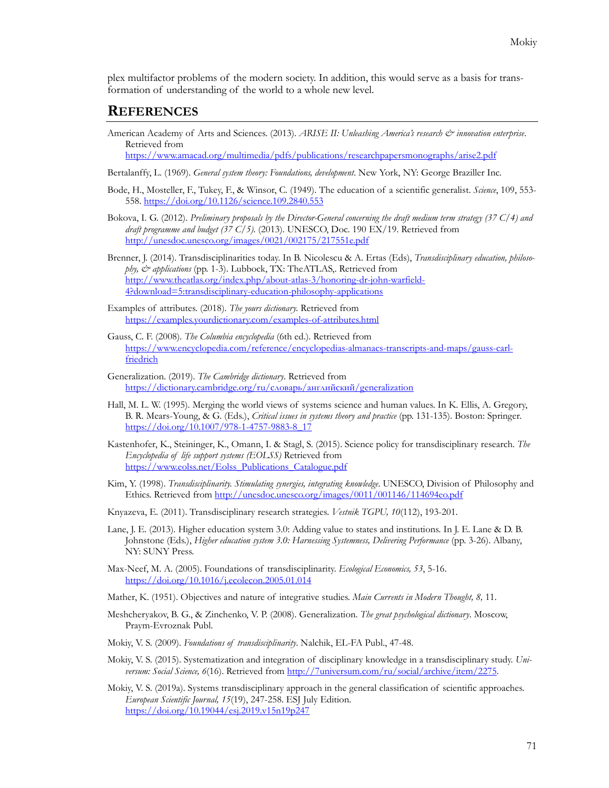plex multifactor problems of the modern society. In addition, this would serve as a basis for transformation of understanding of the world to a whole new level.

#### **REFERENCES**

American Academy of Arts and Sciences. (2013). *ARISE II: Unleashing America's research & innovation enterprise*. Retrieved from

<https://www.amacad.org/multimedia/pdfs/publications/researchpapersmonographs/arise2.pdf>

- Bertalanffy, L. (1969). *General system theory: Foundations, development*. New York, NY: George Braziller Inc.
- Bode, H., Mosteller, F., Tukey, F., & Winsor, C. (1949). The education of a scientific generalist. *Science*, 109, 553- 558. <https://doi.org/10.1126/science.109.2840.553>
- Bokova, I. G. (2012). *Preliminary proposals by the Director-General concerning the draft medium term strategy (37 C/4) and draft programme and budget (37 C/5)*. (2013). UNESCO, Doc. 190 ЕХ/19. Retrieved from <http://unesdoc.unesco.org/images/0021/002175/217551e.pdf>
- Brenner, J. (2014). Transdisciplinarities today. In B. Nicolescu & A. Ertas (Eds), *Transdisciplinary education, philosophy, & applications* (pp. 1-3). Lubbock, TX: TheATLAS,. Retrieved from [http://www.theatlas.org/index.php/about](http://www.theatlas.org/index.php/about-atlas-3/honoring-dr-john-warfield-4?download=5:transdisciplinary-education-philosophy-applications)-atlas-3/honoring-dr-john-warfield-[4?download=5:transdisciplinary](http://www.theatlas.org/index.php/about-atlas-3/honoring-dr-john-warfield-4?download=5:transdisciplinary-education-philosophy-applications)-education-philosophy-applications
- Examples of attributes. (2018). *The yours dictionary.* Retrieved from [https://examples.yourdictionary.com/examples](https://examples.yourdictionary.com/examples-of-attributes.html)-of-attributes.html
- Gauss, C. F. (2008). *The Columbia encyclopedia* (6th ed.). Retrieved from [https://www.encyclopedia.com/reference/encyclopedias](https://www.encyclopedia.com/reference/encyclopedias-almanacs-transcripts-and-maps/gauss-carl-friedrich)-almanacs-transcripts-and-maps/gauss-carl[friedrich](https://www.encyclopedia.com/reference/encyclopedias-almanacs-transcripts-and-maps/gauss-carl-friedrich)
- Generalization. (2019). *The Cambridge dictionary*. Retrieved from [https://dictionary.cambridge.org/ru/словарь/английский/](https://dictionary.cambridge.org/ru/словарь/английский/generalization)generalization
- Hall, M. L. W. (1995). Merging the world views of systems science and human values. In K. Ellis, A. Gregory, B. R. Mears-Young, & G. (Eds.), *Critical issues in systems theory and practice* (pp. 131-135). Boston: Springer. [https://doi.org/10.1007/978](https://doi.org/10.1007/978-1-4757-9883-8_17)-1-4757-9883-8\_17
- Kastenhofer, K., Steininger, K., Omann, I. & Stagl, S. (2015). Science policy for transdisciplinary research. *The Encyclopedia of life support systems (EOLSS)* Retrieved from [https://www.eolss.net/Eolss\\_Publications\\_Catalogue.pdf](https://www.eolss.net/Eolss_Publications_Catalogue.pdf)
- Kim, Y. (1998). *Transdisciplinarity. Stimulating synergies, integrating knowledge*. UNESCO, Division of Philosophy and Ethics. Retrieved from<http://unesdoc.unesco.org/images/0011/001146/114694eo.pdf>
- Knyazeva, E. (2011). Transdisciplinary research strategies. *Vestnik ТGPU, 10*(112), 193-201.
- Lane, J. E. (2013). Higher education system 3.0: Adding value to states and institutions. In J. E. Lane & D. B. Johnstone (Eds.), *Higher education system 3.0: Harnessing Systemness, Delivering Performance* (pp. 3-26). Albany, NY: SUNY Press.
- Max-Neef, M. A. (2005). Foundations of transdisciplinarity. *Ecological Economics, 53*, 5-16. <https://doi.org/10.1016/j.ecolecon.2005.01.014>
- Mather, K. (1951). Objectives and nature of integrative studies. *Main Currents in Modern Thought, 8,* 11.
- Meshcheryakov, B. G., & Zinchenko, V. P. (2008). Generalization. *The great psychological dictionary*. Moscow, Praym-Evroznak Publ.
- Mokiy, V. S. (2009). *Foundations of transdisciplinarity*. Nalchik, EL-FA Publ., 47-48.
- Моkiy, V. S. (2015). Systematization and integration of disciplinary knowledge in a transdisciplinary study. *Universum: Social Science, 6*(16). Retrieved fro[m http://7universum.com/ru/social/archive/item/2275](http://7universum.com/ru/social/archive/item/2275).
- Mokiy, V. S. (2019a). Systems transdisciplinary approach in the general classification of scientific approaches. *European Scientific Journal, 15*(19), 247-258. ESJ July Edition. <https://doi.org/10.19044/esj.2019.v15n19p247>